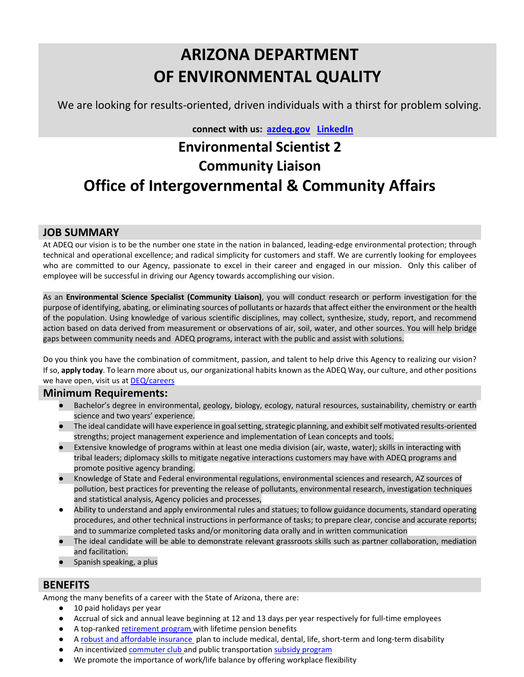# **ARIZONA DEPARTMENT OF ENVIRONMENTAL QUALITY**

We are looking for results-oriented, driven individuals with a thirst for problem solving.

 **connect with us: [azdeq.gov](http://www.azdeq.gov/) [LinkedIn](https://www.linkedin.com/company/arizona-department-of-environmental-quality)**

## **Environmental Scientist 2 Community Liaison Office of Intergovernmental & Community Affairs**

## **JOB SUMMARY**

At ADEQ our vision is to be the number one state in the nation in balanced, leading-edge environmental protection; through technical and operational excellence; and radical simplicity for customers and staff. We are currently looking for employees who are committed to our Agency, passionate to excel in their career and engaged in our mission. Only this caliber of employee will be successful in driving our Agency towards accomplishing our vision.

As an **Environmental Science Specialist (Community Liaison)**, you will conduct research or perform investigation for the purpose of identifying, abating, or eliminating sources of pollutants or hazards that affect either the environment or the health of the population. Using knowledge of various scientific disciplines, may collect, synthesize, study, report, and recommend action based on data derived from measurement or observations of air, soil, water, and other sources. You will help bridge gaps between community needs and ADEQ programs, interact with the public and assist with solutions.

Do you think you have the combination of commitment, passion, and talent to help drive this Agency to realizing our vision? If so, **apply today**. To learn more about us, our organizational habits known as the ADEQ Way, our culture, and other positions we have open, visit us at **DEQ/careers** 

#### **Minimum Requirements:**

- Bachelor's degree in environmental, geology, biology, ecology, natural resources, sustainability, chemistry or earth science and two years' experience.
- The ideal candidate will have experience in goal setting, strategic planning, and exhibit self motivated results-oriented strengths; project management experience and implementation of Lean concepts and tools.
- Extensive knowledge of programs within at least one media division (air, waste, water); skills in interacting with tribal leaders; diplomacy skills to mitigate negative interactions customers may have with ADEQ programs and promote positive agency branding.
- Knowledge of State and Federal environmental regulations, environmental sciences and research, AZ sources of pollution, best practices for preventing the release of pollutants, environmental research, investigation techniques and statistical analysis, Agency policies and processes,
- Ability to understand and apply environmental rules and statues; to follow guidance documents, standard operating procedures, and other technical instructions in performance of tasks; to prepare clear, concise and accurate reports; and to summarize completed tasks and/or monitoring data orally and in written communication
- The ideal candidate will be able to demonstrate relevant grassroots skills such as partner collaboration, mediation and facilitation.
- Spanish speaking, a plus

## **BENEFITS**

Among the many benefits of a career with the State of Arizona, there are:

- 10 paid holidays per year
- Accrual of sick and annual leave beginning at 12 and 13 days per year respectively for full-time employees
- A top-ranked [retirement program w](https://www.azasrs.gov/content/new-and-prospective-members)ith lifetime pension benefits
- [A robust and affordable insurance](http://www.azcentral.com/story/money/business/2014/08/12/state-employee-health-benefits-generous-arizona-study-says/13973785/) plan to include medical, dental, life, short-term and long-term disability
- An incentivize[d commuter club a](http://www.capitolrideshare.com/services/commuter-club/)nd public transportatio[n subsidy program](http://www.capitolrideshare.com/services/bus/)
- We promote the importance of work/life balance by offering workplace flexibility